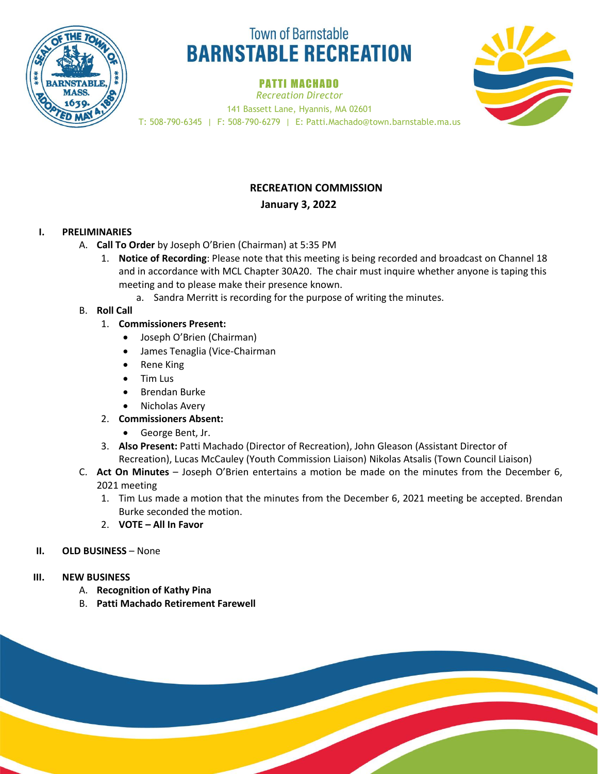

# **Town of Barnstable BARNSTABLE RECREATION**

# PATTI MACHADO

*Recreation Director*



141 Bassett Lane, Hyannis, MA 02601 T: 508-790-6345 | F: 508-790-6279 | E: Patti.Machado@town.barnstable.ma.us

# **RECREATION COMMISSION**

## **January 3, 2022**

## **I. PRELIMINARIES**

- A. **Call To Order** by Joseph O'Brien (Chairman) at 5:35 PM
	- 1. **Notice of Recording**: Please note that this meeting is being recorded and broadcast on Channel 18 and in accordance with MCL Chapter 30A20. The chair must inquire whether anyone is taping this meeting and to please make their presence known.
		- a. Sandra Merritt is recording for the purpose of writing the minutes.

## B. **Roll Call**

- 1. **Commissioners Present:** 
	- Joseph O'Brien (Chairman)
	- James Tenaglia (Vice-Chairman
	- Rene King
	- Tim Lus
	- Brendan Burke
	- Nicholas Avery
- 2. **Commissioners Absent:**
	- George Bent, Jr.
- 3. **Also Present:** Patti Machado (Director of Recreation), John Gleason (Assistant Director of Recreation), Lucas McCauley (Youth Commission Liaison) Nikolas Atsalis (Town Council Liaison)
- C. **Act On Minutes** Joseph O'Brien entertains a motion be made on the minutes from the December 6, 2021 meeting
	- 1. Tim Lus made a motion that the minutes from the December 6, 2021 meeting be accepted. Brendan Burke seconded the motion.
	- 2. **VOTE – All In Favor**

## **II. OLD BUSINESS – None**

- **III. NEW BUSINESS**
	- A. **Recognition of Kathy Pina**
	- B. **Patti Machado Retirement Farewell**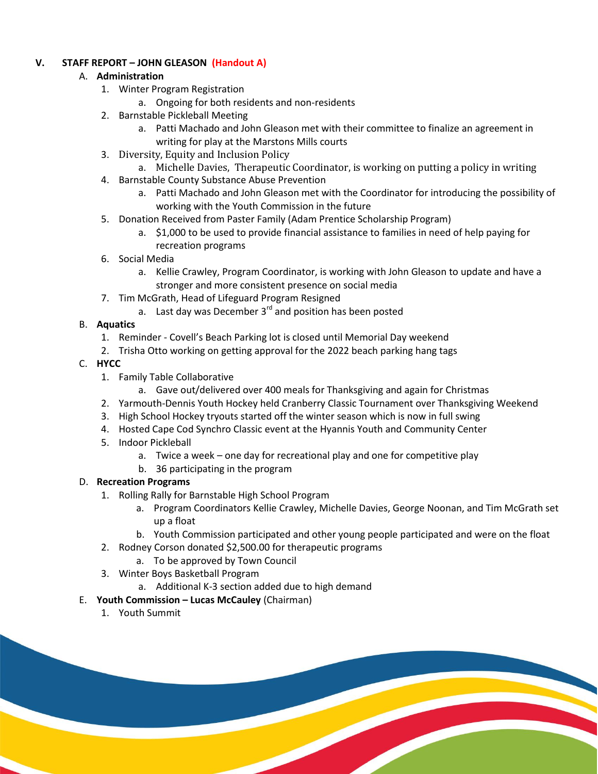### **V. STAFF REPORT – JOHN GLEASON (Handout A)**

# A. **Administration**

- 1. Winter Program Registration
	- a. Ongoing for both residents and non-residents
- 2. Barnstable Pickleball Meeting
	- a. Patti Machado and John Gleason met with their committee to finalize an agreement in writing for play at the Marstons Mills courts
- 3. Diversity, Equity and Inclusion Policy
	- a. Michelle Davies, Therapeutic Coordinator, is working on putting a policy in writing
- 4. Barnstable County Substance Abuse Prevention
	- a. Patti Machado and John Gleason met with the Coordinator for introducing the possibility of working with the Youth Commission in the future
- 5. Donation Received from Paster Family (Adam Prentice Scholarship Program)
	- a. \$1,000 to be used to provide financial assistance to families in need of help paying for recreation programs
- 6. Social Media
	- a. Kellie Crawley, Program Coordinator, is working with John Gleason to update and have a stronger and more consistent presence on social media
- 7. Tim McGrath, Head of Lifeguard Program Resigned
	- a. Last day was December  $3^{rd}$  and position has been posted

# B. **Aquatics**

- 1. Reminder Covell's Beach Parking lot is closed until Memorial Day weekend
- 2. Trisha Otto working on getting approval for the 2022 beach parking hang tags
- C. **HYCC**
	- 1. Family Table Collaborative
		- a. Gave out/delivered over 400 meals for Thanksgiving and again for Christmas
	- 2. Yarmouth-Dennis Youth Hockey held Cranberry Classic Tournament over Thanksgiving Weekend
	- 3. High School Hockey tryouts started off the winter season which is now in full swing
	- 4. Hosted Cape Cod Synchro Classic event at the Hyannis Youth and Community Center
	- 5. Indoor Pickleball
		- a. Twice a week one day for recreational play and one for competitive play
		- b. 36 participating in the program

# D. **Recreation Programs**

- 1. Rolling Rally for Barnstable High School Program
	- a. Program Coordinators Kellie Crawley, Michelle Davies, George Noonan, and Tim McGrath set up a float
	- b. Youth Commission participated and other young people participated and were on the float
- 2. Rodney Corson donated \$2,500.00 for therapeutic programs
	- a. To be approved by Town Council
- 3. Winter Boys Basketball Program
	- a. Additional K-3 section added due to high demand
- E. **Youth Commission – Lucas McCauley** (Chairman)
	- 1. Youth Summit